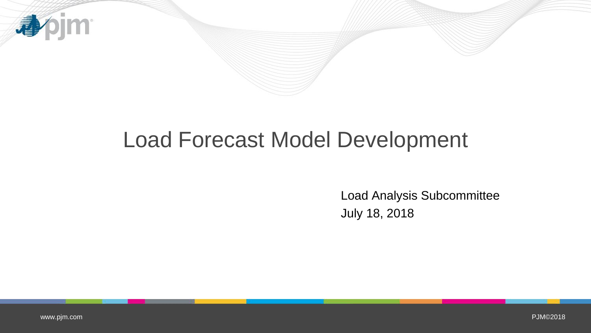

## Load Forecast Model Development

Load Analysis Subcommittee July 18, 2018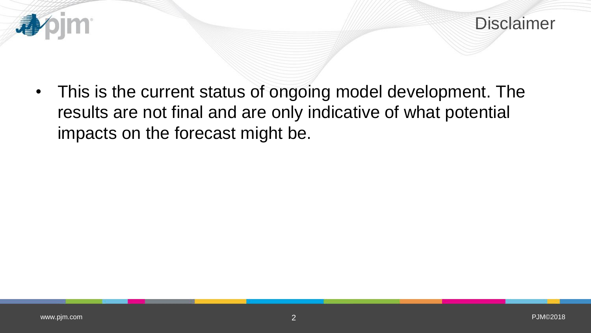



• This is the current status of ongoing model development. The results are not final and are only indicative of what potential impacts on the forecast might be.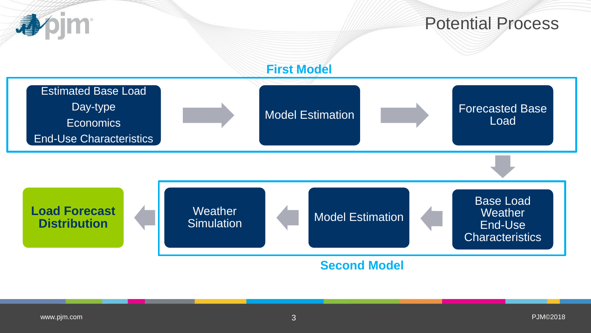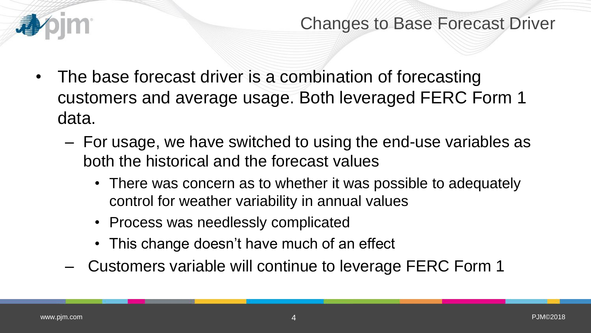

- The base forecast driver is a combination of forecasting customers and average usage. Both leveraged FERC Form 1 data.
	- For usage, we have switched to using the end-use variables as both the historical and the forecast values
		- There was concern as to whether it was possible to adequately control for weather variability in annual values
		- Process was needlessly complicated
		- This change doesn't have much of an effect
	- Customers variable will continue to leverage FERC Form 1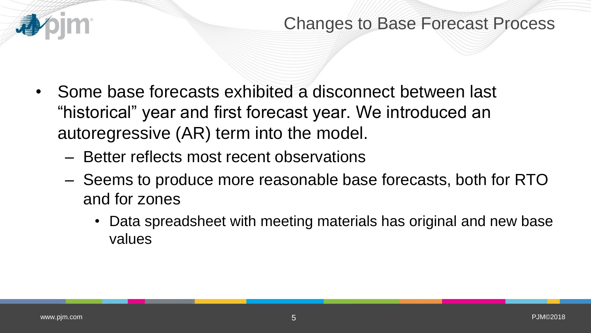

- Some base forecasts exhibited a disconnect between last "historical" year and first forecast year. We introduced an autoregressive (AR) term into the model.
	- Better reflects most recent observations
	- Seems to produce more reasonable base forecasts, both for RTO and for zones
		- Data spreadsheet with meeting materials has original and new base values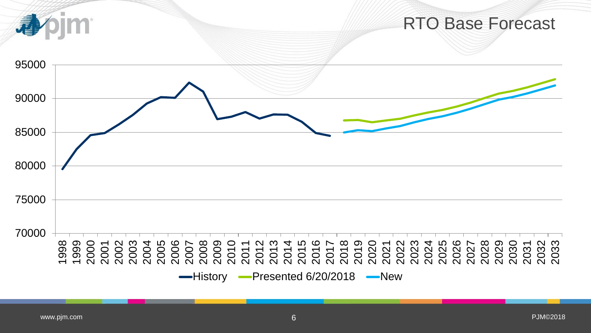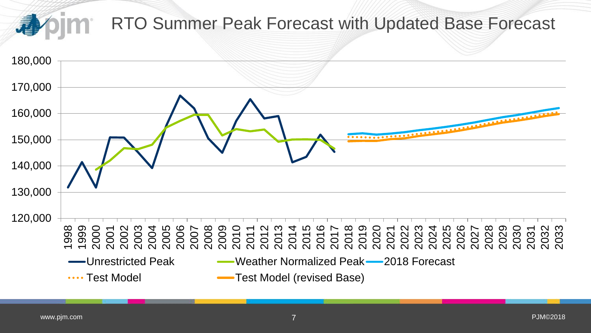

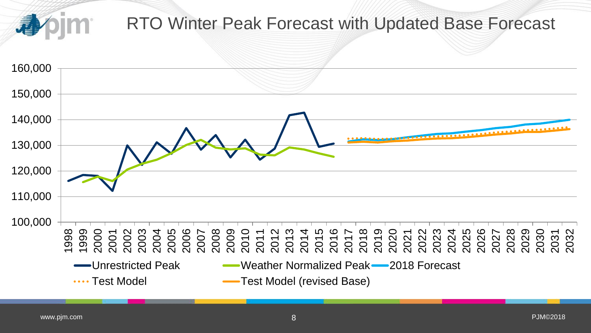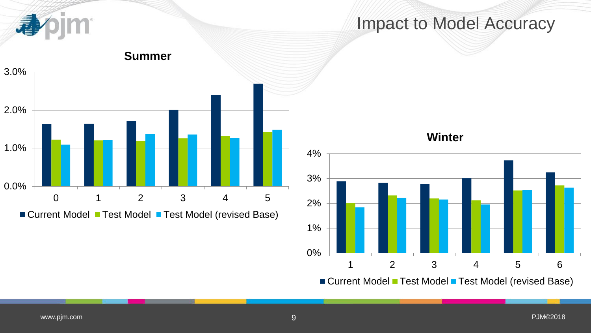

## Impact to Model Accuracy



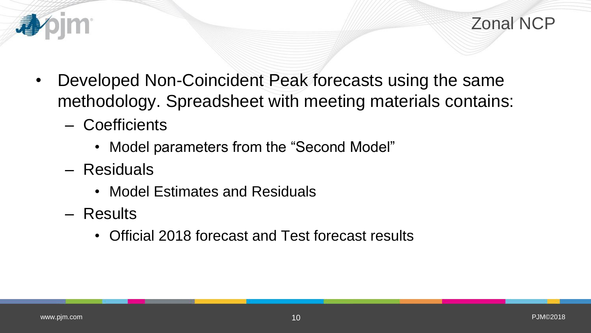

- Developed Non-Coincident Peak forecasts using the same methodology. Spreadsheet with meeting materials contains:
	- Coefficients
		- Model parameters from the "Second Model"
	- Residuals
		- Model Estimates and Residuals
	- Results
		- Official 2018 forecast and Test forecast results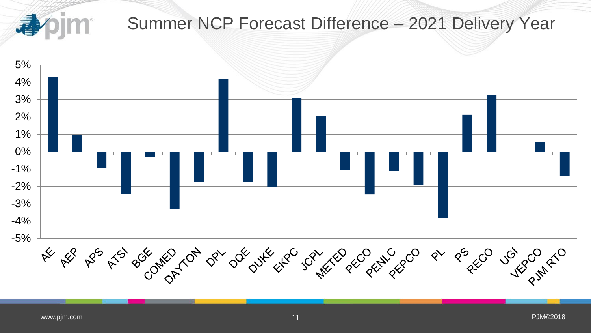

## Summer NCP Forecast Difference – 2021 Delivery Year